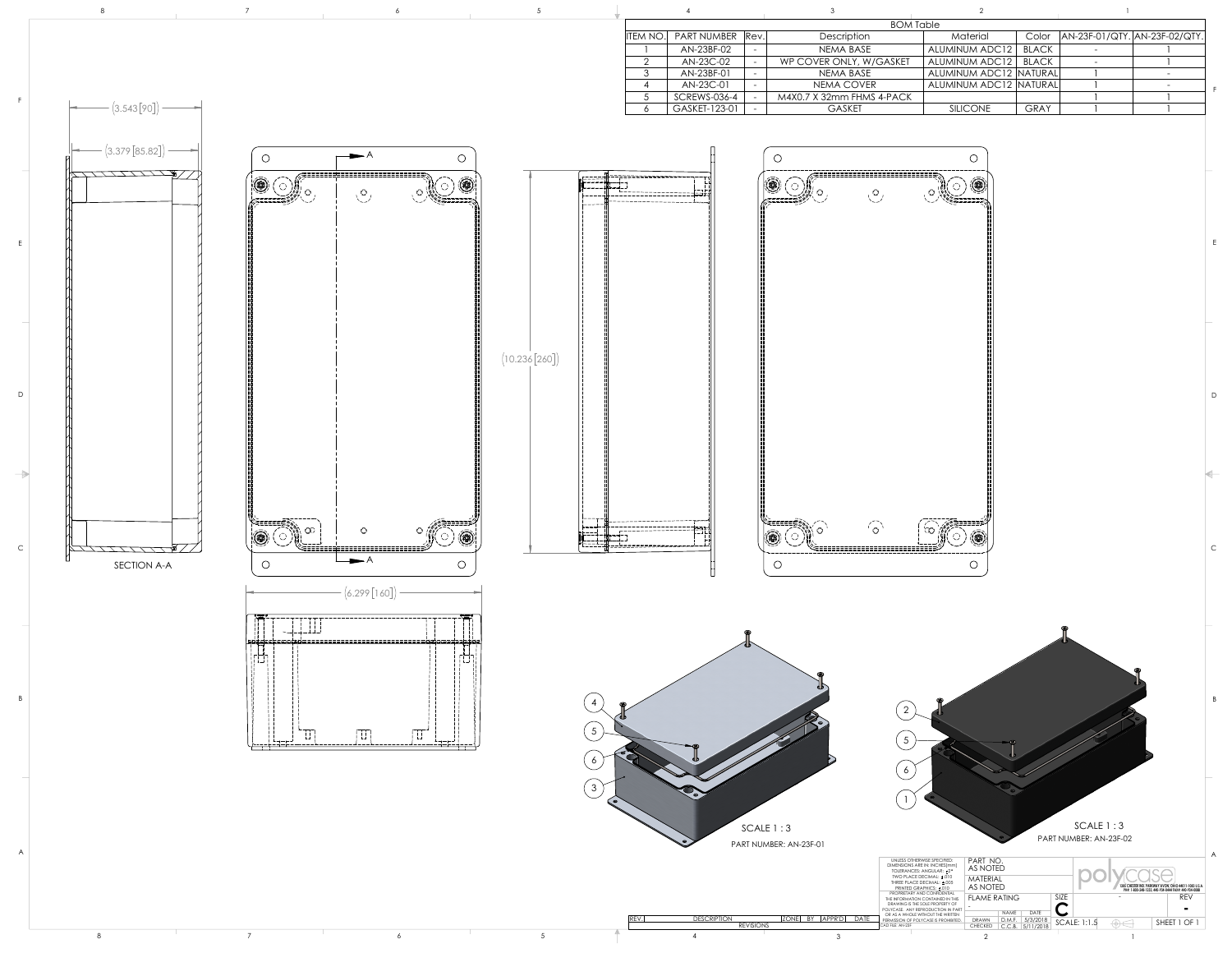B

E

F





8 7 6 5 7 9 2 1

| <b>BOM Table</b> |      |                           |                        |              |                               |  |
|------------------|------|---------------------------|------------------------|--------------|-------------------------------|--|
| NUMBER           | Rev. | Description               | Material               | Color        | AN-23F-01/QTY. AN-23F-02/QTY. |  |
| 23BF-02          |      | <b>NEMA BASE</b>          | <b>ALUMINUM ADC12</b>  | <b>BLACK</b> |                               |  |
| 23C-02           | -    | WP COVER ONLY, W/GASKET   | <b>ALUMINUM ADC12</b>  | BLACK        |                               |  |
| 23BF-01          |      | <b>NEMA BASE</b>          | ALUMINUM ADC12 NATURAL |              |                               |  |
| 23C-01           |      | NEMA COVER                | ALUMINUM ADC12 NATURAL |              |                               |  |
| VS-036-4         |      | M4X0.7 X 32mm FHMS 4-PACK |                        |              |                               |  |
| ET-123-01        |      | <b>GASKET</b>             | <b>SILICONE</b>        | <b>GRAY</b>  |                               |  |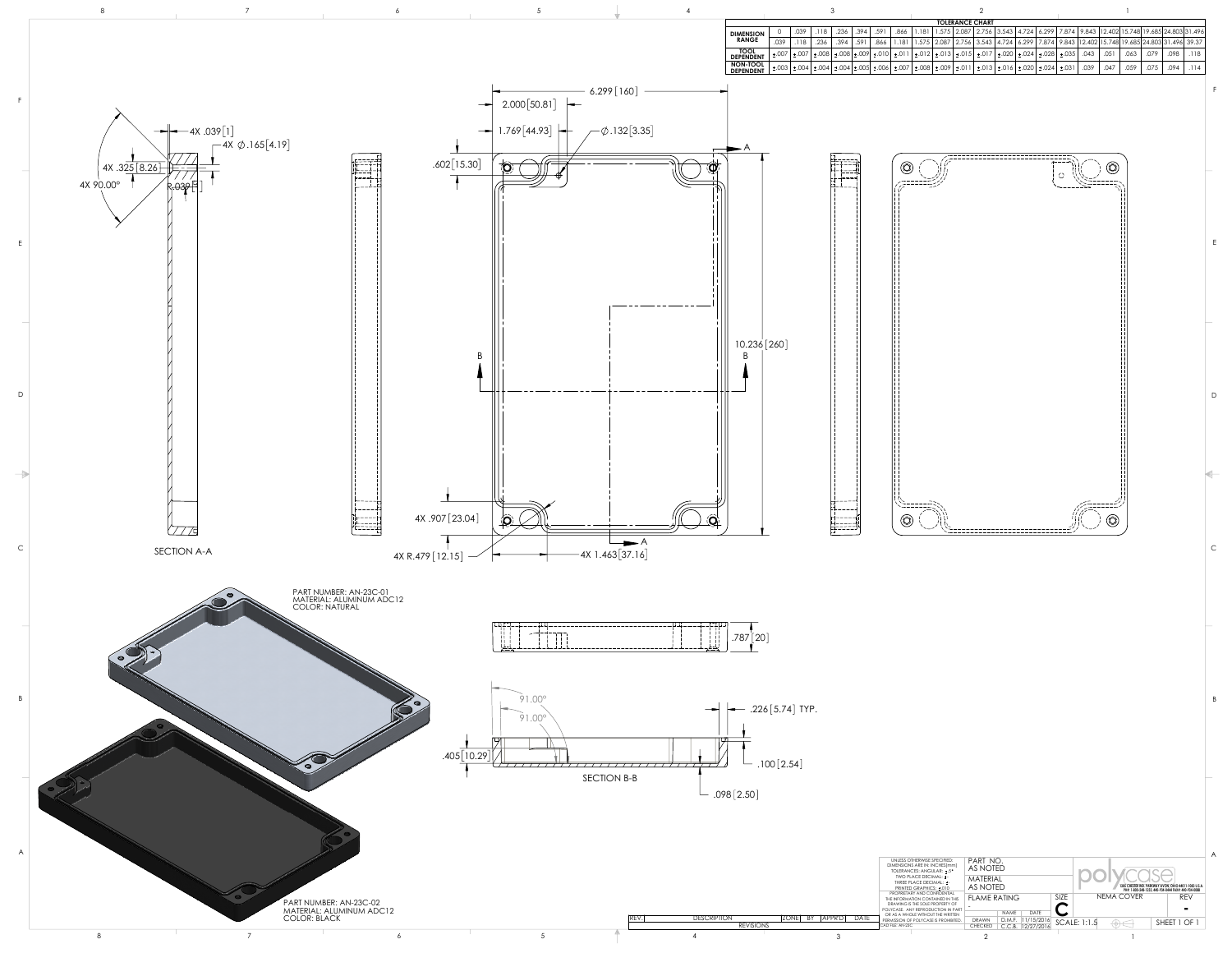A

B

C

D



E

F